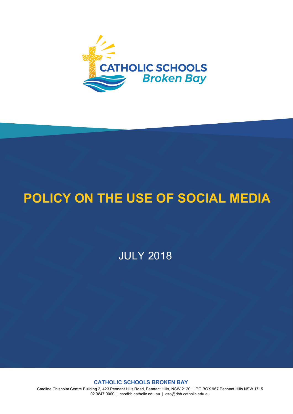

# **POLICY ON THE USE OF SOCIAL MEDIA**

JULY 2018

**CATHOLIC SCHOOLS BROKEN BAY**

Caroline Chisholm Centre Building 2, 423 Pennant Hills Road, Pennant Hills, NSW 2120 | PO BOX 967 Pennant Hills NSW 1715 02 9847 0000 | csodbb.catholic.edu.au | cso@dbb.catholic.edu.au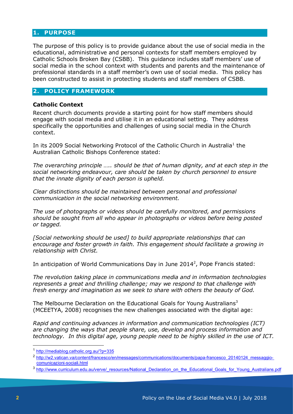## **1. PURPOSE**

The purpose of this policy is to provide guidance about the use of social media in the educational, administrative and personal contexts for staff members employed by Catholic Schools Broken Bay (CSBB). This guidance includes staff members' use of social media in the school context with students and parents and the maintenance of professional standards in a staff member's own use of social media. This policy has been constructed to assist in protecting students and staff members of CSBB.

# **2. POLICY FRAMEWORK**

### **Catholic Context**

Recent church documents provide a starting point for how staff members should engage with social media and utilise it in an educational setting. They address specifically the opportunities and challenges of using social media in the Church context.

In its 2009 Social Networking Protocol of the Catholic Church in Australia<sup>[1](#page-1-0)</sup> the Australian Catholic Bishops Conference stated:

*The overarching principle ….. should be that of human dignity, and at each step in the social networking endeavour, care should be taken by church personnel to ensure that the innate dignity of each person is upheld.*

*Clear distinctions should be maintained between personal and professional communication in the social networking environment.*

*The use of photographs or videos should be carefully monitored, and permissions should be sought from all who appear in photographs or videos before being posted or tagged.*

*[Social networking should be used] to build appropriate relationships that can encourage and foster growth in faith. This engagement should facilitate a growing in relationship with Christ.*

In anticipation of World Communications Day in June [2](#page-1-1)014<sup>2</sup>, Pope Francis stated:

*The revolution taking place in communications media and in information technologies represents a great and thrilling challenge; may we respond to that challenge with fresh energy and imagination as we seek to share with others the beauty of God.*

The Melbourne Declaration on the Educational Goals for Young Australians<sup>3</sup> (MCEETYA, 2008) recognises the new challenges associated with the digital age:

*Rapid and continuing advances in information and communication technologies (ICT) are changing the ways that people share, use, develop and process information and technology. In this digital age, young people need to be highly skilled in the use of ICT.*

<sup>1</sup> <http://mediablog.catholic.org.au/?p=335>

<span id="page-1-1"></span><span id="page-1-0"></span><sup>2</sup> [http://w2.vatican.va/content/francesco/en/messages/communications/documents/papa-francesco\\_20140124\\_messaggio](http://w2.vatican.va/content/francesco/en/messages/communications/documents/papa-francesco_20140124_messaggio-comunicazioni-sociali.html)[comunicazioni-sociali.html](http://w2.vatican.va/content/francesco/en/messages/communications/documents/papa-francesco_20140124_messaggio-comunicazioni-sociali.html)

<span id="page-1-2"></span><sup>3</sup> [http://www.curriculum.edu.au/verve/\\_resources/National\\_Declaration\\_on\\_the\\_Educational\\_Goals\\_for\\_Young\\_Australians.pdf](http://www.curriculum.edu.au/verve/_resources/National_Declaration_on_the_Educational_Goals_for_Young_Australians.pdf)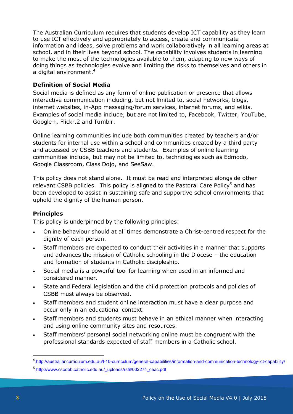The Australian Curriculum requires that students develop ICT capability as they learn to use ICT effectively and appropriately to access, create and communicate information and ideas, solve problems and work collaboratively in all learning areas at school, and in their lives beyond school. The capability involves students in learning to make the most of the technologies available to them, adapting to new ways of doing things as technologies evolve and limiting the risks to themselves and others in a digital environment.<sup>4</sup>

# **Definition of Social Media**

Social media is defined as any form of online publication or presence that allows interactive communication including, but not limited to, social networks, blogs, internet websites, in-App messaging/forum services, internet forums, and wikis. Examples of social media include, but are not limited to, Facebook, Twitter, YouTube, Google+, Flickr.2 and Tumblr.

Online learning communities include both communities created by teachers and/or students for internal use within a school and communities created by a third party and accessed by CSBB teachers and students. Examples of online learning communities include, but may not be limited to, technologies such as Edmodo, Google Classroom, Class Dojo, and SeeSaw.

This policy does not stand alone. It must be read and interpreted alongside other relevant CSBB policies. This policy is aligned to the Pastoral Care Policy<sup>5</sup> and has been developed to assist in sustaining safe and supportive school environments that uphold the dignity of the human person.

## **Principles**

This policy is underpinned by the following principles:

- Online behaviour should at all times demonstrate a Christ-centred respect for the dignity of each person.
- Staff members are expected to conduct their activities in a manner that supports and advances the mission of Catholic schooling in the Diocese – the education and formation of students in Catholic discipleship.
- Social media is a powerful tool for learning when used in an informed and considered manner.
- State and Federal legislation and the child protection protocols and policies of CSBB must always be observed.
- Staff members and student online interaction must have a clear purpose and occur only in an educational context.
- Staff members and students must behave in an ethical manner when interacting and using online community sites and resources.
- Staff members' personal social networking online must be congruent with the professional standards expected of staff members in a Catholic school.

<span id="page-2-0"></span><sup>4</sup> <http://australiancurriculum.edu.au/f-10-curriculum/general-capabilities/information-and-communication-technology-ict-capability/>

<span id="page-2-1"></span><sup>5</sup> [http://www.csodbb.catholic.edu.au/\\_uploads/rsfil/002274\\_ceac.pdf](http://www.csodbb.catholic.edu.au/_uploads/rsfil/002274_ceac.pdf)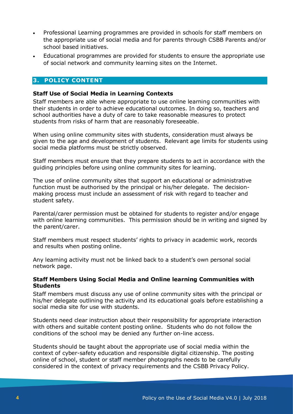- Professional Learning programmes are provided in schools for staff members on the appropriate use of social media and for parents through CSBB Parents and/or school based initiatives.
- Educational programmes are provided for students to ensure the appropriate use of social network and community learning sites on the Internet.

# **3. POLICY CONTENT**

#### **Staff Use of Social Media in Learning Contexts**

Staff members are able where appropriate to use online learning communities with their students in order to achieve educational outcomes. In doing so, teachers and school authorities have a duty of care to take reasonable measures to protect students from risks of harm that are reasonably foreseeable.

When using online community sites with students, consideration must always be given to the age and development of students. Relevant age limits for students using social media platforms must be strictly observed.

Staff members must ensure that they prepare students to act in accordance with the guiding principles before using online community sites for learning.

The use of online community sites that support an educational or administrative function must be authorised by the principal or his/her delegate. The decisionmaking process must include an assessment of risk with regard to teacher and student safety.

Parental/carer permission must be obtained for students to register and/or engage with online learning communities. This permission should be in writing and signed by the parent/carer.

Staff members must respect students' rights to privacy in academic work, records and results when posting online.

Any learning activity must not be linked back to a student's own personal social network page.

#### **Staff Members Using Social Media and Online learning Communities with Students**

Staff members must discuss any use of online community sites with the principal or his/her delegate outlining the activity and its educational goals before establishing a social media site for use with students.

Students need clear instruction about their responsibility for appropriate interaction with others and suitable content posting online. Students who do not follow the conditions of the school may be denied any further on-line access.

Students should be taught about the appropriate use of social media within the context of cyber-safety education and responsible digital citizenship. The posting online of school, student or staff member photographs needs to be carefully considered in the context of privacy requirements and the CSBB Privacy Policy.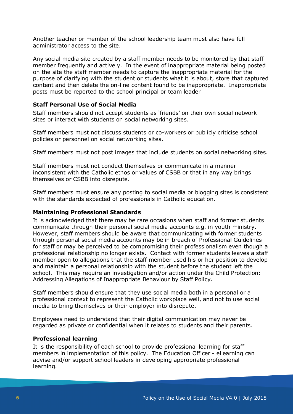Another teacher or member of the school leadership team must also have full administrator access to the site.

Any social media site created by a staff member needs to be monitored by that staff member frequently and actively. In the event of inappropriate material being posted on the site the staff member needs to capture the inappropriate material for the purpose of clarifying with the student or students what it is about, store that captured content and then delete the on-line content found to be inappropriate. Inappropriate posts must be reported to the school principal or team leader

## **Staff Personal Use of Social Media**

Staff members should not accept students as 'friends' on their own social network sites or interact with students on social networking sites.

Staff members must not discuss students or co-workers or publicly criticise school policies or personnel on social networking sites.

Staff members must not post images that include students on social networking sites.

Staff members must not conduct themselves or communicate in a manner inconsistent with the Catholic ethos or values of CSBB or that in any way brings themselves or CSBB into disrepute.

Staff members must ensure any posting to social media or blogging sites is consistent with the standards expected of professionals in Catholic education.

#### **Maintaining Professional Standards**

It is acknowledged that there may be rare occasions when staff and former students communicate through their personal social media accounts e.g. in youth ministry. However, staff members should be aware that communicating with former students through personal social media accounts may be in breach of Professional Guidelines for staff or may be perceived to be compromising their professionalism even though a professional relationship no longer exists. Contact with former students leaves a staff member open to allegations that the staff member used his or her position to develop and maintain a personal relationship with the student before the student left the school. This may require an investigation and/or action under the Child Protection: Addressing Allegations of Inappropriate Behaviour by Staff Policy.

Staff members should ensure that they use social media both in a personal or a professional context to represent the Catholic workplace well, and not to use social media to bring themselves or their employer into disrepute.

Employees need to understand that their digital communication may never be regarded as private or confidential when it relates to students and their parents.

#### **Professional learning**

It is the responsibility of each school to provide professional learning for staff members in implementation of this policy. The Education Officer - eLearning can advise and/or support school leaders in developing appropriate professional learning.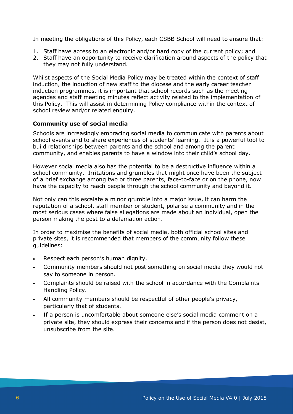In meeting the obligations of this Policy, each CSBB School will need to ensure that:

- 1. Staff have access to an electronic and/or hard copy of the current policy; and
- 2. Staff have an opportunity to receive clarification around aspects of the policy that they may not fully understand.

Whilst aspects of the Social Media Policy may be treated within the context of staff induction, the induction of new staff to the diocese and the early career teacher induction programmes, it is important that school records such as the meeting agendas and staff meeting minutes reflect activity related to the implementation of this Policy. This will assist in determining Policy compliance within the context of school review and/or related enquiry.

## **Community use of social media**

Schools are increasingly embracing social media to communicate with parents about school events and to share experiences of students' learning. It is a powerful tool to build relationships between parents and the school and among the parent community, and enables parents to have a window into their child's school day.

However social media also has the potential to be a destructive influence within a school community. Irritations and grumbles that might once have been the subject of a brief exchange among two or three parents, face-to-face or on the phone, now have the capacity to reach people through the school community and beyond it.

Not only can this escalate a minor grumble into a major issue, it can harm the reputation of a school, staff member or student, polarise a community and in the most serious cases where false allegations are made about an individual, open the person making the post to a defamation action.

In order to maximise the benefits of social media, both official school sites and private sites, it is recommended that members of the community follow these guidelines:

- Respect each person's human dignity.
- Community members should not post something on social media they would not say to someone in person.
- Complaints should be raised with the school in accordance with the Complaints Handling Policy.
- All community members should be respectful of other people's privacy, particularly that of students.
- If a person is uncomfortable about someone else's social media comment on a private site, they should express their concerns and if the person does not desist, unsubscribe from the site.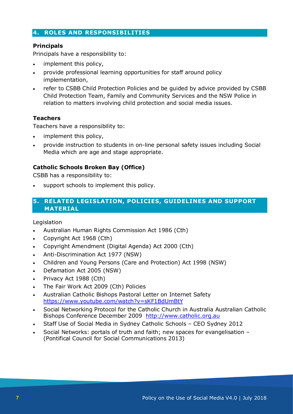# **4. ROLES AND RESPONSIBILITIES**

# **Principals**

Principals have a responsibility to:

- implement this policy,
- provide professional learning opportunities for staff around policy implementation,
- refer to CSBB Child Protection Policies and be guided by advice provided by CSBB Child Protection Team, Family and Community Services and the NSW Police in relation to matters involving child protection and social media issues.

## **Teachers**

Teachers have a responsibility to:

- implement this policy,
- provide instruction to students in on-line personal safety issues including Social Media which are age and stage appropriate.

## **Catholic Schools Broken Bay (Office)**

CSBB has a responsibility to:

support schools to implement this policy.

# **5. RELATED LEGISLATION, POLICIES, GUIDELINES AND SUPPORT MATERIAL**

Legislation

- Australian Human Rights Commission Act 1986 (Cth)
- Copyright Act 1968 (Cth)
- Copyright Amendment (Digital Agenda) Act 2000 (Cth)
- Anti-Discrimination Act 1977 (NSW)
- Children and Young Persons (Care and Protection) Act 1998 (NSW)
- Defamation Act 2005 (NSW)
- Privacy Act 1988 (Cth)
- The Fair Work Act 2009 (Cth) Policies
- Australian Catholic Bishops Pastoral Letter on Internet Safety <https://www.youtube.com/watch?v=sKF1BdUmBtY>
- Social Networking Protocol for the Catholic Church in Australia Australian Catholic Bishops Conference December 2009 [http://www.catholic.org.au](http://www.catholic.org.au/)
- Staff Use of Social Media in Sydney Catholic Schools CEO Sydney 2012
- Social Networks: portals of truth and faith; new spaces for evangelisation (Pontifical Council for Social Communications 2013)